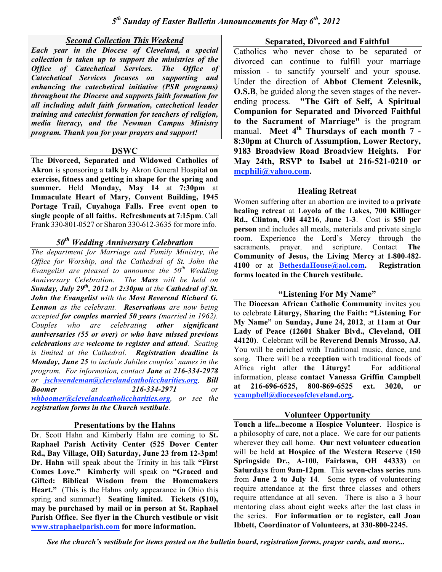## *Second Collection This Weekend*

*Each year in the Diocese of Cleveland, a special collection is taken up to support the ministries of the Office of Catechetical Services. The Office of Catechetical Services focuses on supporting and enhancing the catechetical initiative (PSR programs) throughout the Diocese and supports faith formation for all including adult faith formation, catechetical leader training and catechist formation for teachers of religion, media literacy, and the Newman Campus Ministry program. Thank you for your prayers and support!*

#### **DSWC**

The **Divorced, Separated and Widowed Catholics of Akron** is sponsoring a **talk** by Akron General Hospital **on exercise, fitness and getting in shape for the spring and summer.** Held **Monday, May 14** at **7:30pm** at **Immaculate Heart of Mary, Convent Building, 1945 Portage Trail, Cuyahoga Falls. Free** event **open to single people of all faiths. Refreshments at 7:15pm**. Call Frank 330-801-0527 or Sharon 330-612-3635 for more info.

## *50th Wedding Anniversary Celebration*

*The department for Marriage and Family Ministry, the Office for Worship, and the Cathedral of St. John the Evangelist are pleased to announce the 50th Wedding Anniversary Celebration. The Mass will be held on Sunday, July 29th , 2012 at 2:30pm at the Cathedral of St. John the Evangelist with the Most Reverend Richard G. Lennon as the celebrant. Reservations are now being accepted for couples married 50 years (married in 1962). Couples who are celebrating other significant anniversaries (55 or over) or who have missed previous celebrations are welcome to register and attend. Seating is limited at the Cathedral. Registration deadline is Monday, June 25 to include Jubilee couples' names in the program. For information, contact Jane at 216-334-2978 or jschwendeman@clevelandcatholiccharities.org, Bill Boomer at 216-334-2971 or whboomer@clevelandcatholiccharities.org, or see the registration forms in the Church vestibule.*

### **Presentations by the Hahns**

Dr. Scott Hahn and Kimberly Hahn are coming to **St. Raphael Parish Activity Center (525 Dover Center Rd., Bay Village, OH) Saturday, June 23 from 12-3pm! Dr. Hahn** will speak about the Trinity in his talk **"First Comes Love." Kimberly** will speak on **"Graced and Gifted: Biblical Wisdom from the Homemakers Heart."** (This is the Hahns only appearance in Ohio this spring and summer!) **Seating limited. Tickets (\$10), may be purchased by mail or in person at St. Raphael Parish Office. See flyer in the Church vestibule or visit www.straphaelparish.com for more information.**

### **Separated, Divorced and Faithful**

Catholics who never chose to be separated or divorced can continue to fulfill your marriage mission - to sanctify yourself and your spouse. Under the direction of **Abbot Clement Zelesnik, O.S.B**, be guided along the seven stages of the neverending process. **"The Gift of Self, A Spiritual Companion for Separated and Divorced Faithful to the Sacrament of Marriage"** is the program manual. **Meet 4th Thursdays of each month 7 - 8:30pm at Church of Assumption, Lower Rectory, 9183 Broadview Road Broadview Heights. For May 24th, RSVP to Isabel at 216-521-0210 or mcphili@yahoo.com.**

## **Healing Retreat**

Women suffering after an abortion are invited to a **private healing retreat** at **Loyola of the Lakes, 700 Killinger Rd., Clinton, OH 44216**, **June 1-3**. Cost is **\$50 per person** and includes all meals, materials and private single room. Experience the Lord's Mercy through the sacraments, prayer, and scripture. Contact **The Community of Jesus, the Living Mercy** at **1-800-482- 4100** or at **BethesdaHouse@aol.com. Registration forms located in the Church vestibule.**

# **"Listening For My Name"**

The **Diocesan African Catholic Community** invites you to celebrate **Liturgy, Sharing the Faith: "Listening For My Name"** on **Sunday, June 24, 2012**, at **11am** at **Our Lady of Peace (12601 Shaker Blvd., Cleveland, OH 44120)**. Celebrant will be **Reverend Dennis Mrosso, AJ**. You will be enriched with Traditional music, dance, and song. There will be a **reception** with traditional foods of Africa right after **the Liturgy!** For additional information, please **contact Vanessa Griffin Campbell at 216-696-6525, 800-869-6525 ext. 3020, or vcampbell@dioceseofcleveland.org.**

# **Volunteer Opportunity**

**Touch a life...become a Hospice Volunteer**. Hospice is a philosophy of care, not a place. We care for our patients wherever they call home. **Our next volunteer education** will be held **at Hospice of the Western Reserve** (**150 Springside Dr., A-100, Fairlawn, OH 44333)** on **Saturdays** from **9am-12pm**. This **seven-class series** runs from **June 2 to July 14**. Some types of volunteering require attendance at the first three classes and others require attendance at all seven. There is also a 3 hour mentoring class about eight weeks after the last class in the series. **For information or to register, call Joan Ibbett, Coordinator of Volunteers, at 330-800-2245.**

*See the church's vestibule for items posted on the bulletin board, registration forms, prayer cards, and more...*